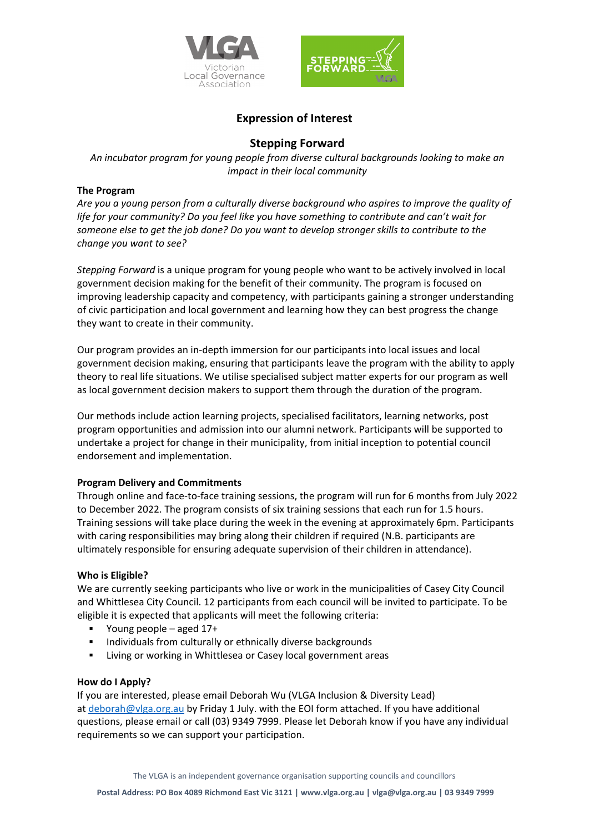



# **Expression of Interest**

## **Stepping Forward**

*An incubator program for young people from diverse cultural backgrounds looking to make an impact in their local community*

#### **The Program**

*Are you a young person from a culturally diverse background who aspires to improve the quality of life for your community? Do you feel like you have something to contribute and can't wait for someone else to get the job done? Do you want to develop stronger skills to contribute to the change you want to see?*

*Stepping Forward* is a unique program for young people who want to be actively involved in local government decision making for the benefit of their community. The program is focused on improving leadership capacity and competency, with participants gaining a stronger understanding of civic participation and local government and learning how they can best progress the change they want to create in their community.

Our program provides an in-depth immersion for our participants into local issues and local government decision making, ensuring that participants leave the program with the ability to apply theory to real life situations. We utilise specialised subject matter experts for our program as well as local government decision makers to support them through the duration of the program.

Our methods include action learning projects, specialised facilitators, learning networks, post program opportunities and admission into our alumni network. Participants will be supported to undertake a project for change in their municipality, from initial inception to potential council endorsement and implementation.

#### **Program Delivery and Commitments**

Through online and face-to-face training sessions, the program will run for 6 months from July 2022 to December 2022. The program consists of six training sessions that each run for 1.5 hours. Training sessions will take place during the week in the evening at approximately 6pm. Participants with caring responsibilities may bring along their children if required (N.B. participants are ultimately responsible for ensuring adequate supervision of their children in attendance).

#### **Who is Eligible?**

We are currently seeking participants who live or work in the municipalities of Casey City Council and Whittlesea City Council. 12 participants from each council will be invited to participate. To be eligible it is expected that applicants will meet the following criteria:

- Young people aged 17+
- **Individuals from culturally or ethnically diverse backgrounds**
- **EXEDENT Living or working in Whittlesea or Casey local government areas**

#### **How do I Apply?**

If you are interested, please email Deborah Wu (VLGA Inclusion & Diversity Lead) at [deborah@vlga.org.au](mailto:deborah@vlga.org.au) by Friday 1 July. with the EOI form attached. If you have additional questions, please email or call (03) 9349 7999. Please let Deborah know if you have any individual requirements so we can support your participation.

The VLGA is an independent governance organisation supporting councils and councillors